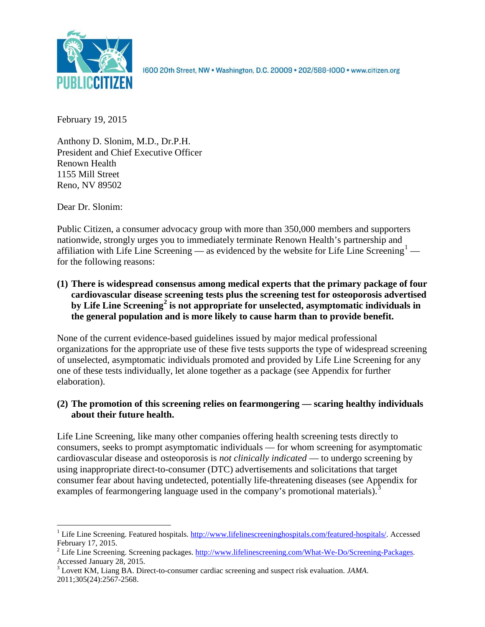

1600 20th Street, NW . Washington, D.C. 20009 . 202/588-1000 . www.citizen.org

February 19, 2015

Anthony D. Slonim, M.D., Dr.P.H. President and Chief Executive Officer Renown Health 1155 Mill Street Reno, NV 89502

Dear Dr. Slonim:

Public Citizen, a consumer advocacy group with more than 350,000 members and supporters nationwide, strongly urges you to immediately terminate Renown Health's partnership and affiliation with Life Line Screening — as evidenced by the website for Life Line Screening<sup>[1](#page-0-0)</sup> for the following reasons:

**(1) There is widespread consensus among medical experts that the primary package of four cardiovascular disease screening tests plus the screening test for osteoporosis advertised by Life Line Screening[2](#page-0-1) is not appropriate for unselected, asymptomatic individuals in the general population and is more likely to cause harm than to provide benefit.**

None of the current evidence-based guidelines issued by major medical professional organizations for the appropriate use of these five tests supports the type of widespread screening of unselected, asymptomatic individuals promoted and provided by Life Line Screening for any one of these tests individually, let alone together as a package (see Appendix for further elaboration).

# **(2) The promotion of this screening relies on fearmongering — scaring healthy individuals about their future health.**

Life Line Screening, like many other companies offering health screening tests directly to consumers, seeks to prompt asymptomatic individuals — for whom screening for asymptomatic cardiovascular disease and osteoporosis is *not clinically indicated* — to undergo screening by using inappropriate direct-to-consumer (DTC) advertisements and solicitations that target consumer fear about having undetected, potentially life-threatening diseases (see Appendix for examples of fearmongering language used in the company's promotional materials).<sup>[3](#page-0-2)</sup>

<span id="page-0-0"></span><sup>&</sup>lt;sup>1</sup> Life Line Screening. Featured hospitals. [http://www.lifelinescreeninghospitals.com/featured-hospitals/.](http://www.lifelinescreeninghospitals.com/featured-hospitals/) Accessed

<span id="page-0-1"></span>February 17, 2015.<br><sup>2</sup> Life Line Screening. Screening packages. [http://www.lifelinescreening.com/What-We-Do/Screening-Packages.](http://www.lifelinescreening.com/What-We-Do/Screening-Packages)<br>Accessed January 28, 2015.

<span id="page-0-2"></span><sup>&</sup>lt;sup>3</sup> Lovett KM, Liang BA. Direct-to-consumer cardiac screening and suspect risk evaluation. *JAMA*. 2011;305(24):2567-2568.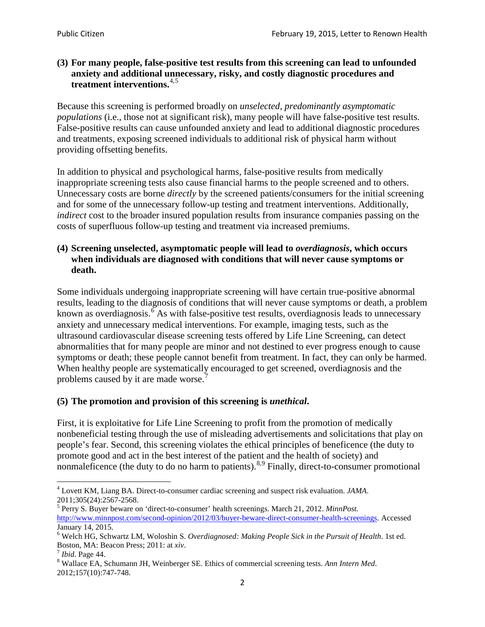## **(3) For many people, false-positive test results from this screening can lead to unfounded anxiety and additional unnecessary, risky, and costly diagnostic procedures and treatment interventions.**[4](#page-1-0),[5](#page-1-1)

Because this screening is performed broadly on *unselected, predominantly asymptomatic populations* (i.e., those not at significant risk), many people will have false**-**positive test results. False-positive results can cause unfounded anxiety and lead to additional diagnostic procedures and treatments, exposing screened individuals to additional risk of physical harm without providing offsetting benefits.

In addition to physical and psychological harms, false-positive results from medically inappropriate screening tests also cause financial harms to the people screened and to others. Unnecessary costs are borne *directly* by the screened patients/consumers for the initial screening and for some of the unnecessary follow-up testing and treatment interventions. Additionally, *indirect* cost to the broader insured population results from insurance companies passing on the costs of superfluous follow-up testing and treatment via increased premiums.

## **(4) Screening unselected, asymptomatic people will lead to** *overdiagnosis***, which occurs when individuals are diagnosed with conditions that will never cause symptoms or death.**

Some individuals undergoing inappropriate screening will have certain true-positive abnormal results, leading to the diagnosis of conditions that will never cause symptoms or death, a problem known as overdiagnosis.<sup>[6](#page-1-2)</sup> As with false-positive test results, overdiagnosis leads to unnecessary anxiety and unnecessary medical interventions. For example, imaging tests, such as the ultrasound cardiovascular disease screening tests offered by Life Line Screening, can detect abnormalities that for many people are minor and not destined to ever progress enough to cause symptoms or death; these people cannot benefit from treatment. In fact, they can only be harmed. When healthy people are systematically encouraged to get screened, overdiagnosis and the problems caused by it are made worse.<sup>[7](#page-1-3)</sup>

# **(5) The promotion and provision of this screening is** *unethical***.**

First, it is exploitative for Life Line Screening to profit from the promotion of medically nonbeneficial testing through the use of misleading advertisements and solicitations that play on people's fear. Second, this screening violates the ethical principles of beneficence (the duty to promote good and act in the best interest of the patient and the health of society) and nonmaleficence (the duty to do no harm to patients).  $8.9$  $8.9$  $8.9$  Finally, direct-to-consumer promotional

<span id="page-1-4"></span>2012;157(10):747-748.

<span id="page-1-5"></span><span id="page-1-0"></span><sup>4</sup> Lovett KM, Liang BA. Direct-to-consumer cardiac screening and suspect risk evaluation. *JAMA*.

<span id="page-1-1"></span><sup>2011;305(24):2567-2568.</sup> <sup>5</sup> Perry S. Buyer beware on 'direct-to-consumer' health screenings. March 21, 2012. *MinnPost.*  [http://www.minnpost.com/second-opinion/2012/03/buyer-beware-direct-consumer-health-screenings.](http://www.minnpost.com/second-opinion/2012/03/buyer-beware-direct-consumer-health-screenings) Accessed January 14, 2015.

<span id="page-1-2"></span><sup>6</sup> Welch HG, Schwartz LM, Woloshin S. *Overdiagnosed: Making People Sick in the Pursuit of Health*. 1st ed. Boston, MA: Beacon Press; 2011: at *xiv*.<br><sup>7</sup> *Ibid*. Page 44.<br><sup>8</sup> Wallace EA, Schumann JH, Weinberger SE. Ethics of commercial screening tests. *Ann Intern Med*.

<span id="page-1-3"></span>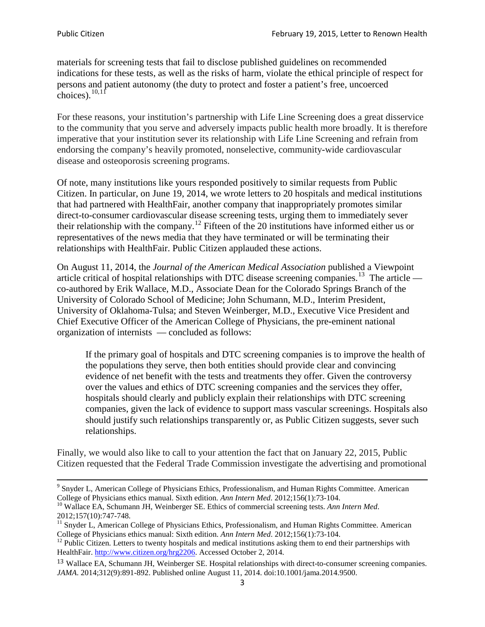materials for screening tests that fail to disclose published guidelines on recommended indications for these tests, as well as the risks of harm, violate the ethical principle of respect for persons and patient autonomy (the duty to protect and foster a patient's free, uncoerced choices). $\frac{10,11}{10,11}$  $\frac{10,11}{10,11}$  $\frac{10,11}{10,11}$  $\frac{10,11}{10,11}$ 

For these reasons, your institution's partnership with Life Line Screening does a great disservice to the community that you serve and adversely impacts public health more broadly. It is therefore imperative that your institution sever its relationship with Life Line Screening and refrain from endorsing the company's heavily promoted, nonselective, community**-**wide cardiovascular disease and osteoporosis screening programs.

Of note, many institutions like yours responded positively to similar requests from Public Citizen. In particular, on June 19, 2014, we wrote letters to 20 hospitals and medical institutions that had partnered with HealthFair, another company that inappropriately promotes similar direct-to-consumer cardiovascular disease screening tests, urging them to immediately sever their relationship with the company. [12](#page-2-2) Fifteen of the 20 institutions have informed either us or representatives of the news media that they have terminated or will be terminating their relationships with HealthFair. Public Citizen applauded these actions.

On August 11, 2014, the *Journal of the American Medical Association* published a Viewpoint article critical of hospital relationships with DTC disease screening companies.<sup>13</sup> The article co-authored by Erik Wallace, M.D., Associate Dean for the Colorado Springs Branch of the University of Colorado School of Medicine; John Schumann, M.D., Interim President, University of Oklahoma-Tulsa; and Steven Weinberger, M.D., Executive Vice President and Chief Executive Officer of the American College of Physicians, the pre**-**eminent national organization of internists — concluded as follows:

If the primary goal of hospitals and DTC screening companies is to improve the health of the populations they serve, then both entities should provide clear and convincing evidence of net benefit with the tests and treatments they offer. Given the controversy over the values and ethics of DTC screening companies and the services they offer, hospitals should clearly and publicly explain their relationships with DTC screening companies, given the lack of evidence to support mass vascular screenings. Hospitals also should justify such relationships transparently or, as Public Citizen suggests, sever such relationships.

Finally, we would also like to call to your attention the fact that on January 22, 2015, Public Citizen requested that the Federal Trade Commission investigate the advertising and promotional

<sup>&</sup>lt;sup>9</sup> Snyder L, American College of Physicians Ethics, Professionalism, and Human Rights Committee. American College of Physicians ethics manual. Sixth edition. Ann Intern Med. 2012;156(1):73-104.

<span id="page-2-0"></span><sup>&</sup>lt;sup>10</sup> Wallace EA, Schumann JH, Weinberger SE. Ethics of commercial screening tests. *Ann Intern Med*. 2012;157(10):747-748.

<span id="page-2-1"></span> $11$  Snyder L, American College of Physicians Ethics, Professionalism, and Human Rights Committee. American College of Physicians ethics manual: Sixth edition. *Ann Intern Med*. 2012;156(1):73-104.<br><sup>12</sup> Public Citizen. Letters to twenty hospitals and medical institutions asking them to end their partnerships with

<span id="page-2-2"></span>HealthFair. [http://www.citizen.org/hrg2206.](http://www.citizen.org/hrg2206) Accessed October 2, 2014.

<span id="page-2-3"></span><sup>13</sup> Wallace EA, Schumann JH, Weinberger SE. Hospital relationships with direct-to-consumer screening companies. *JAMA*. 2014;312(9):891-892. Published online August 11, 2014. doi:10.1001/jama.2014.9500.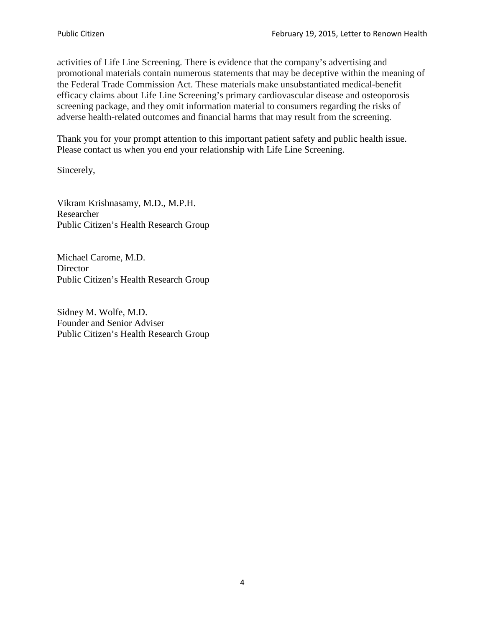activities of Life Line Screening. There is evidence that the company's advertising and promotional materials contain numerous statements that may be deceptive within the meaning of the Federal Trade Commission Act. These materials make unsubstantiated medical-benefit efficacy claims about Life Line Screening's primary cardiovascular disease and osteoporosis screening package, and they omit information material to consumers regarding the risks of adverse health-related outcomes and financial harms that may result from the screening.

Thank you for your prompt attention to this important patient safety and public health issue. Please contact us when you end your relationship with Life Line Screening.

Sincerely,

Vikram Krishnasamy, M.D., M.P.H. Researcher Public Citizen's Health Research Group

Michael Carome, M.D. **Director** Public Citizen's Health Research Group

Sidney M. Wolfe, M.D. Founder and Senior Adviser Public Citizen's Health Research Group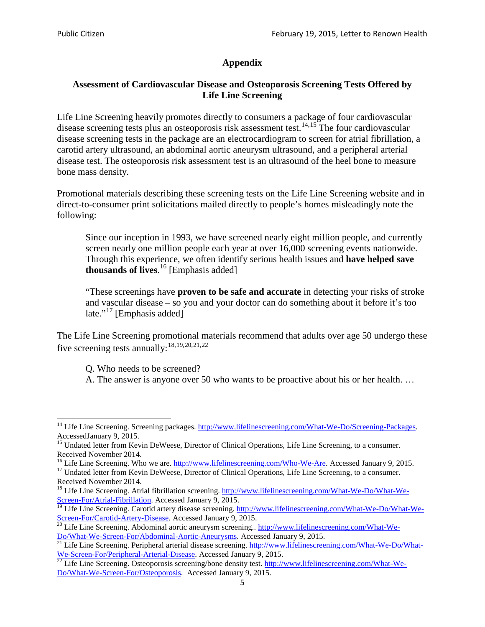## **Appendix**

## **Assessment of Cardiovascular Disease and Osteoporosis Screening Tests Offered by Life Line Screening**

Life Line Screening heavily promotes directly to consumers a package of four cardiovascular disease screening tests plus an osteoporosis risk assessment test.<sup>[14](#page-4-0),[15](#page-4-1)</sup> The four cardiovascular disease screening tests in the package are an electrocardiogram to screen for atrial fibrillation, a carotid artery ultrasound, an abdominal aortic aneurysm ultrasound, and a peripheral arterial disease test. The osteoporosis risk assessment test is an ultrasound of the heel bone to measure bone mass density.

Promotional materials describing these screening tests on the Life Line Screening website and in direct-to-consumer print solicitations mailed directly to people's homes misleadingly note the following:

Since our inception in 1993, we have screened nearly eight million people, and currently screen nearly one million people each year at over 16,000 screening events nationwide. Through this experience, we often identify serious health issues and **have helped save thousands of lives**. [16](#page-4-2) [Emphasis added]

"These screenings have **proven to be safe and accurate** in detecting your risks of stroke and vascular disease – so you and your doctor can do something about it before it's too late."<sup>[17](#page-4-3)</sup> [Emphasis added]

The Life Line Screening promotional materials recommend that adults over age 50 undergo these five screening tests annually:<sup>[18](#page-4-4),[19,](#page-4-5)[20,](#page-4-6)[21](#page-4-7),[22](#page-4-8)</sup>

Q. Who needs to be screened?

A. The answer is anyone over 50 who wants to be proactive about his or her health. …

<span id="page-4-0"></span><sup>&</sup>lt;sup>14</sup> Life Line Screening. Screening packages. [http://www.lifelinescreening.com/What-We-Do/Screening-Packages.](http://www.lifelinescreening.com/What-We-Do/Screening-Packages) AccessedJanuary 9, 2015.

<span id="page-4-1"></span><sup>&</sup>lt;sup>15</sup> Undated letter from Kevin DeWeese, Director of Clinical Operations, Life Line Screening, to a consumer.

Received November 2014.<br><sup>16</sup> Life Line Screening. Who we are. http://www.lifelinescreening.com/Who-We-Are. Accessed January 9, 2015.

<span id="page-4-3"></span><span id="page-4-2"></span><sup>&</sup>lt;sup>17</sup> Undated letter from Kevin DeWeese, Director of Clinical Operations, Life Line Screening, to a consumer. Received November 2014.

<span id="page-4-4"></span><sup>&</sup>lt;sup>18</sup> Life Line Screening. Atrial fibrillation screening. [http://www.lifelinescreening.com/What-We-Do/What-We-](http://www.lifelinescreening.com/What-We-Do/What-We-Screen-For/Atrial-Fibrillation)[Screen-For/Atrial-Fibrillation.](http://www.lifelinescreening.com/What-We-Do/What-We-Screen-For/Atrial-Fibrillation) Accessed January 9, 2015.

<sup>&</sup>lt;sup>19</sup> Life Line Screening. Carotid artery disease screening. [http://www.lifelinescreening.com/What-We-Do/What-We-](http://www.lifelinescreening.com/What-We-Do/What-We-Screen-For/Carotid-Artery-Disease)

<span id="page-4-6"></span><span id="page-4-5"></span>[Screen-For/Carotid-Artery-Disease.](http://www.lifelinescreening.com/What-We-Do/What-We-Screen-For/Carotid-Artery-Disease) Accessed January 9, 2015.<br><sup>20</sup> Life Line Screening. Abdominal aortic aneurysm screening.. http://www.lifelinescreening.com/What-We-Do/What-We-Do/What-We-Screen-For/Abdominal-Aortic-Aneury

<span id="page-4-7"></span><sup>&</sup>lt;sup>21</sup> Life Line Screening. Peripheral arterial disease screening. [http://www.lifelinescreening.com/What-We-Do/What-](http://www.lifelinescreening.com/What-We-Do/What-We-Screen-For/Peripheral-Arterial-Disease)

<span id="page-4-8"></span>[We-Screen-For/Peripheral-Arterial-Disease.](http://www.lifelinescreening.com/What-We-Do/What-We-Screen-For/Peripheral-Arterial-Disease) Accessed January 9, 2015.<br><sup>22</sup> Life Line Screening. Osteoporosis screening/bone density test. [http://www.lifelinescreening.com/What-We-](http://www.lifelinescreening.com/What-We-Do/What-We-Screen-For/Osteoporosis)[Do/What-We-Screen-For/Osteoporosis.](http://www.lifelinescreening.com/What-We-Do/What-We-Screen-For/Osteoporosis) Accessed January 9, 2015.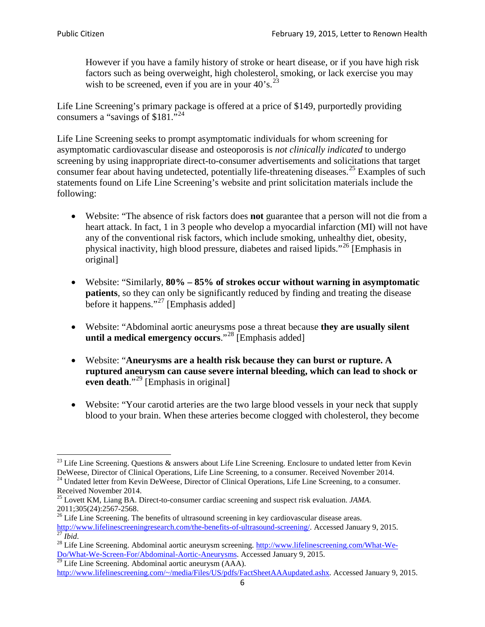However if you have a family history of stroke or heart disease, or if you have high risk factors such as being overweight, high cholesterol, smoking, or lack exercise you may wish to be screened, even if you are in your  $40^{\circ}$ s.<sup>[23](#page-5-0)</sup>

Life Line Screening's primary package is offered at a price of \$149, purportedly providing consumers a "savings of \$181."[24](#page-5-1)

Life Line Screening seeks to prompt asymptomatic individuals for whom screening for asymptomatic cardiovascular disease and osteoporosis is *not clinically indicated* to undergo screening by using inappropriate direct-to-consumer advertisements and solicitations that target consumer fear about having undetected, potentially life-threatening diseases.<sup>[25](#page-5-2)</sup> Examples of such statements found on Life Line Screening's website and print solicitation materials include the following:

- Website: "The absence of risk factors does **not** guarantee that a person will not die from a heart attack. In fact, 1 in 3 people who develop a myocardial infarction (MI) will not have any of the conventional risk factors, which include smoking, unhealthy diet, obesity, physical inactivity, high blood pressure, diabetes and raised lipids."[26](#page-5-3) [Emphasis in original]
- Website: "Similarly, **80% – 85% of strokes occur without warning in asymptomatic patients**, so they can only be significantly reduced by finding and treating the disease before it happens."<sup>[27](#page-5-4)</sup> [Emphasis added]
- Website: "Abdominal aortic aneurysms pose a threat because **they are usually silent until a medical emergency occurs**."[28](#page-5-5) [Emphasis added]
- Website: "**Aneurysms are a health risk because they can burst or rupture. A ruptured aneurysm can cause severe internal bleeding, which can lead to shock or even death.**"<sup>[29](#page-5-6)</sup> [Emphasis in original]
- Website: "Your carotid arteries are the two large blood vessels in your neck that supply blood to your brain. When these arteries become clogged with cholesterol, they become

<span id="page-5-0"></span><sup>&</sup>lt;sup>23</sup> Life Line Screening. Questions  $\&$  answers about Life Line Screening. Enclosure to undated letter from Kevin DeWeese, Director of Clinical Operations, Life Line Screening, to a consumer. Received November 2014.

<span id="page-5-1"></span><sup>&</sup>lt;sup>24</sup> Undated letter from Kevin DeWeese, Director of Clinical Operations, Life Line Screening, to a consumer. Received November 2014.

<span id="page-5-2"></span><sup>25</sup> Lovett KM, Liang BA. Direct-to-consumer cardiac screening and suspect risk evaluation. *JAMA*.  $2011;305(24):2567-2568$ .<br><sup>26</sup> Life Line Screening. The benefits of ultrasound screening in key cardiovascular disease areas.

<span id="page-5-3"></span>[http://www.lifelinescreeningresearch.com/the-benefits-of-ultrasound-screening/.](http://www.lifelinescreeningresearch.com/the-benefits-of-ultrasound-screening/) Accessed January 9, 2015.<br><sup>28</sup> Life Line Screening. Abdominal aortic aneurysm screening. http://www.lifelinescreening.com/What-We-<sup>28</sup>

<span id="page-5-5"></span><span id="page-5-4"></span>[Do/What-We-Screen-For/Abdominal-Aortic-Aneurysms.](http://www.lifelinescreening.com/What-We-Do/What-We-Screen-For/Abdominal-Aortic-Aneurysms) Accessed January 9, 2015. <sup>29</sup> Life Line Screening. Abdominal aortic aneurysm (AAA).

<span id="page-5-6"></span>[http://www.lifelinescreening.com/~/media/Files/US/pdfs/FactSheetAAAupdated.ashx.](http://www.lifelinescreening.com/~/media/Files/US/pdfs/FactSheetAAAupdated.ashx) Accessed January 9, 2015.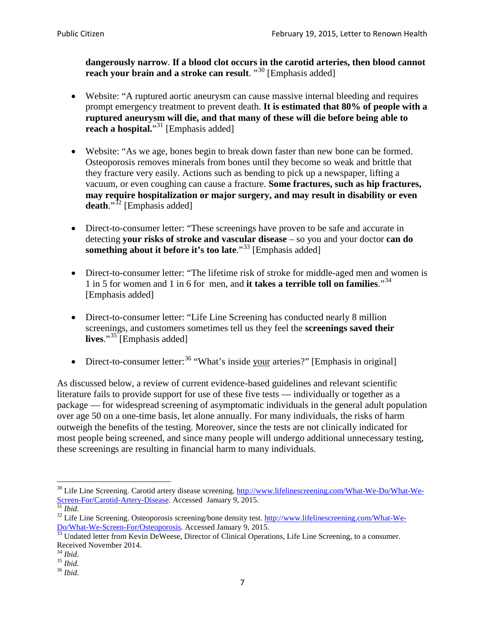**dangerously narrow**. **If a blood clot occurs in the carotid arteries, then blood cannot reach your brain and a stroke can result**. "<sup>[30](#page-6-0)</sup> [Emphasis added]

- Website: "A ruptured aortic aneurysm can cause massive internal bleeding and requires prompt emergency treatment to prevent death. **It is estimated that 80% of people with a ruptured aneurysm will die, and that many of these will die before being able to reach a hospital.**"<sup>[31](#page-6-1)</sup> [Emphasis added]
- Website: "As we age, bones begin to break down faster than new bone can be formed. Osteoporosis removes minerals from bones until they become so weak and brittle that they fracture very easily. Actions such as bending to pick up a newspaper, lifting a vacuum, or even coughing can cause a fracture. **Some fractures, such as hip fractures, may require hospitalization or major surgery, and may result in disability or even**  death."<sup>[32](#page-6-2)</sup> [Emphasis added]
- Direct-to-consumer letter: "These screenings have proven to be safe and accurate in detecting **your risks of stroke and vascular disease** – so you and your doctor **can do something about it before it's too late**."<sup>[33](#page-6-3)</sup> [Emphasis added]
- Direct-to-consumer letter: "The lifetime risk of stroke for middle-aged men and women is 1 in 5 for women and 1 in 6 for men, and **it takes a terrible toll on families**."[34](#page-6-4) [Emphasis added]
- Direct-to-consumer letter: "Life Line Screening has conducted nearly 8 million screenings, and customers sometimes tell us they feel the **screenings saved their lives**."[35](#page-6-5) [Emphasis added]
- Direct-to-consumer letter:  $36$  "What's inside your arteries?" [Emphasis in original]

As discussed below, a review of current evidence-based guidelines and relevant scientific literature fails to provide support for use of these five tests — individually or together as a package — for widespread screening of asymptomatic individuals in the general adult population over age 50 on a one-time basis, let alone annually. For many individuals, the risks of harm outweigh the benefits of the testing. Moreover, since the tests are not clinically indicated for most people being screened, and since many people will undergo additional unnecessary testing, these screenings are resulting in financial harm to many individuals.

<span id="page-6-0"></span><sup>&</sup>lt;sup>30</sup> Life Line Screening. Carotid artery disease screening. [http://www.lifelinescreening.com/What-We-Do/What-We-](http://www.lifelinescreening.com/What-We-Do/What-We-Screen-For/Carotid-Artery-Disease)[Screen-For/Carotid-Artery-Disease.](http://www.lifelinescreening.com/What-We-Do/What-We-Screen-For/Carotid-Artery-Disease) Accessed January 9, 2015.<br><sup>31</sup> *Ibid.* 32 Life Line Screening. Osteoporosis screening/bone density test. [http://www.lifelinescreening.com/What-We-](http://www.lifelinescreening.com/What-We-Do/What-We-Screen-For/Osteoporosis)

<span id="page-6-2"></span><span id="page-6-1"></span>[Do/What-We-Screen-For/Osteoporosis.](http://www.lifelinescreening.com/What-We-Do/What-We-Screen-For/Osteoporosis) Accessed January 9, 2015. <sup>33</sup> Undated letter from Kevin DeWeese, Director of Clinical Operations, Life Line Screening, to a consumer.

<span id="page-6-3"></span>Received November 2014.<br><sup>34</sup> Ibid.

<span id="page-6-4"></span>

<span id="page-6-5"></span><sup>34</sup> *Ibid*. 35 *Ibid*. 36 *Ibid*.

<span id="page-6-6"></span>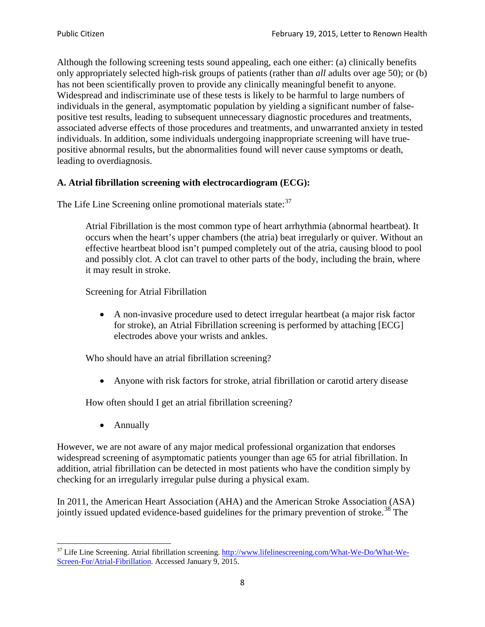Although the following screening tests sound appealing, each one either: (a) clinically benefits only appropriately selected high-risk groups of patients (rather than *all* adults over age 50); or (b) has not been scientifically proven to provide any clinically meaningful benefit to anyone. Widespread and indiscriminate use of these tests is likely to be harmful to large numbers of individuals in the general, asymptomatic population by yielding a significant number of falsepositive test results, leading to subsequent unnecessary diagnostic procedures and treatments, associated adverse effects of those procedures and treatments, and unwarranted anxiety in tested individuals. In addition, some individuals undergoing inappropriate screening will have truepositive abnormal results, but the abnormalities found will never cause symptoms or death, leading to overdiagnosis.

# **A. Atrial fibrillation screening with electrocardiogram (ECG):**

The Life Line Screening online promotional materials state:<sup>[37](#page-7-0)</sup>

Atrial Fibrillation is the most common type of heart arrhythmia (abnormal heartbeat). It occurs when the heart's upper chambers (the atria) beat irregularly or quiver. Without an effective heartbeat blood isn't pumped completely out of the atria, causing blood to pool and possibly clot. A clot can travel to other parts of the body, including the brain, where it may result in stroke.

Screening for Atrial Fibrillation

• A non-invasive procedure used to detect irregular heartbeat (a major risk factor for stroke), an Atrial Fibrillation screening is performed by attaching [ECG] electrodes above your wrists and ankles.

Who should have an atrial fibrillation screening?

• Anyone with risk factors for stroke, atrial fibrillation or carotid artery disease

How often should I get an atrial fibrillation screening?

• Annually

<span id="page-7-1"></span>However, we are not aware of any major medical professional organization that endorses widespread screening of asymptomatic patients younger than age 65 for atrial fibrillation. In addition, atrial fibrillation can be detected in most patients who have the condition simply by checking for an irregularly irregular pulse during a physical exam.

In 2011, the American Heart Association (AHA) and the American Stroke Association (ASA) jointly issued updated evidence-based guidelines for the primary prevention of stroke.<sup>[38](#page-7-1)</sup> The

<span id="page-7-0"></span><sup>&</sup>lt;sup>37</sup> Life Line Screening. Atrial fibrillation screening. [http://www.lifelinescreening.com/What-We-Do/What-We-](http://www.lifelinescreening.com/What-We-Do/What-We-Screen-For/Atrial-Fibrillation)[Screen-For/Atrial-Fibrillation.](http://www.lifelinescreening.com/What-We-Do/What-We-Screen-For/Atrial-Fibrillation) Accessed January 9, 2015.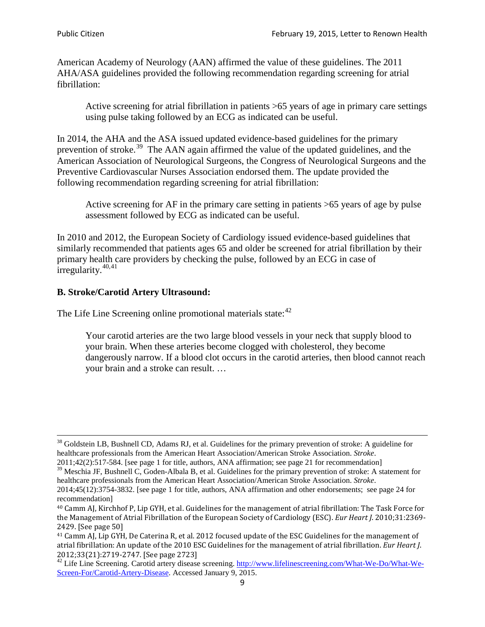American Academy of Neurology (AAN) affirmed the value of these guidelines. The 2011 AHA/ASA guidelines provided the following recommendation regarding screening for atrial fibrillation:

Active screening for atrial fibrillation in patients >65 years of age in primary care settings using pulse taking followed by an ECG as indicated can be useful.

In 2014, the AHA and the ASA issued updated evidence-based guidelines for the primary prevention of stroke.<sup>[39](#page-8-0)</sup> The AAN again affirmed the value of the updated guidelines, and the American Association of Neurological Surgeons, the Congress of Neurological Surgeons and the Preventive Cardiovascular Nurses Association endorsed them. The update provided the following recommendation regarding screening for atrial fibrillation:

Active screening for AF in the primary care setting in patients >65 years of age by pulse assessment followed by ECG as indicated can be useful.

In 2010 and 2012, the European Society of Cardiology issued evidence-based guidelines that similarly recommended that patients ages 65 and older be screened for atrial fibrillation by their primary health care providers by checking the pulse, followed by an ECG in case of irregularity. $40,41$  $40,41$ 

# **B. Stroke/Carotid Artery Ultrasound:**

The Life Line Screening online promotional materials state:<sup>[42](#page-8-3)</sup>

Your carotid arteries are the two large blood vessels in your neck that supply blood to your brain. When these arteries become clogged with cholesterol, they become dangerously narrow. If a blood clot occurs in the carotid arteries, then blood cannot reach your brain and a stroke can result. …

<sup>&</sup>lt;sup>38</sup> Goldstein LB, Bushnell CD, Adams RJ, et al. Guidelines for the primary prevention of stroke: A guideline for healthcare professionals from the American Heart Association/American Stroke Association. *Stroke*.

<sup>2011;42(2):517-584.</sup> [see page 1 for title, authors, ANA affirmation; see page 21 for recommendation]

<span id="page-8-0"></span> $\frac{2011,42(2)(317,601)}{39}$  Meschia JF, Bushnell C, Goden-Albala B, et al. Guidelines for the primary prevention of stroke: A statement for healthcare professionals from the American Heart Association/American Stroke Association. *Stroke*.

<sup>2014;45(12):3754-3832.</sup> [see page 1 for title, authors, ANA affirmation and other endorsements; see page 24 for recommendation]

<span id="page-8-1"></span><sup>40</sup> Camm AJ, Kirchhof P, Lip GYH, et al. Guidelines for the management of atrial fibrillation: The Task Force for the Management of Atrial Fibrillation of the European Society of Cardiology (ESC). *Eur Heart J*. 2010;31:2369- 2429. [See page 50]

<span id="page-8-2"></span><sup>41</sup> Camm AJ, Lip GYH, De Caterina R, et al. 2012 focused update of the ESC Guidelines for the management of atrial fibrillation: An update of the 2010 ESC Guidelines for the management of atrial fibrillation. *Eur Heart J*.

<span id="page-8-3"></span><sup>2012;33(21):2719-2747. [</sup>See page 2723]<br><sup>42</sup> Life Line Screening. Carotid artery disease screening. [http://www.lifelinescreening.com/What-We-Do/What-We-](http://www.lifelinescreening.com/What-We-Do/What-We-Screen-For/Carotid-Artery-Disease)[Screen-For/Carotid-Artery-Disease.](http://www.lifelinescreening.com/What-We-Do/What-We-Screen-For/Carotid-Artery-Disease) Accessed January 9, 2015.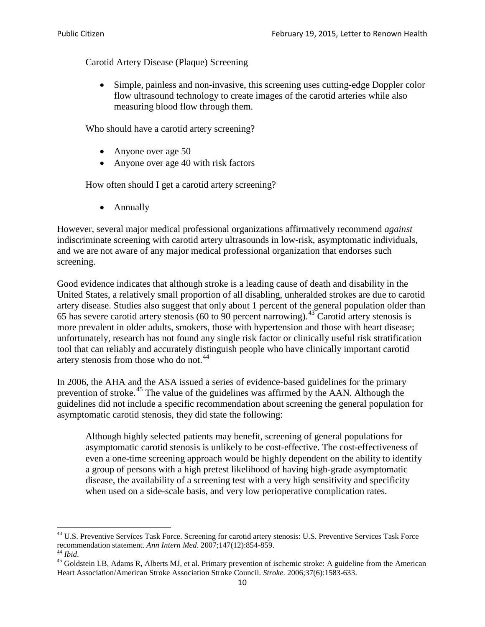Carotid Artery Disease (Plaque) Screening

• Simple, painless and non-invasive, this screening uses cutting-edge Doppler color flow ultrasound technology to create images of the carotid arteries while also measuring blood flow through them.

Who should have a carotid artery screening?

- Anyone over age 50
- Anyone over age 40 with risk factors

How often should I get a carotid artery screening?

• Annually

However, several major medical professional organizations affirmatively recommend *against* indiscriminate screening with carotid artery ultrasounds in low-risk, asymptomatic individuals, and we are not aware of any major medical professional organization that endorses such screening.

Good evidence indicates that although stroke is a leading cause of death and disability in the United States, a relatively small proportion of all disabling, unheralded strokes are due to carotid artery disease. Studies also suggest that only about 1 percent of the general population older than 65 has severe carotid artery stenosis (60 to 90 percent narrowing).<sup>[43](#page-9-0)</sup> Carotid artery stenosis is more prevalent in older adults, smokers, those with hypertension and those with heart disease; unfortunately, research has not found any single risk factor or clinically useful risk stratification tool that can reliably and accurately distinguish people who have clinically important carotid artery stenosis from those who do not.<sup>[44](#page-9-1)</sup>

In 2006, the AHA and the ASA issued a series of evidence-based guidelines for the primary prevention of stroke.[45](#page-9-2) The value of the guidelines was affirmed by the AAN. Although the guidelines did not include a specific recommendation about screening the general population for asymptomatic carotid stenosis, they did state the following:

Although highly selected patients may benefit, screening of general populations for asymptomatic carotid stenosis is unlikely to be cost-effective. The cost-effectiveness of even a one-time screening approach would be highly dependent on the ability to identify a group of persons with a high pretest likelihood of having high-grade asymptomatic disease, the availability of a screening test with a very high sensitivity and specificity when used on a side-scale basis, and very low perioperative complication rates.

<span id="page-9-0"></span> $^{43}$  U.S. Preventive Services Task Force. Screening for carotid artery stenosis: U.S. Preventive Services Task Force recommendation statement. Ann Intern Med. 2007;147(12):854-859.

<span id="page-9-2"></span><span id="page-9-1"></span><sup>&</sup>lt;sup>44</sup> *Ibid*. <sup>45</sup> Goldstein LB, Adams R, Alberts MJ, et al. Primary prevention of ischemic stroke: A guideline from the American <sup>45</sup> Goldstein LB, Adams R, Alberts MJ, et al. Primary prevention of ischemic stroke: A guide Heart Association/American Stroke Association Stroke Council. *Stroke*. 2006;37(6):1583-633.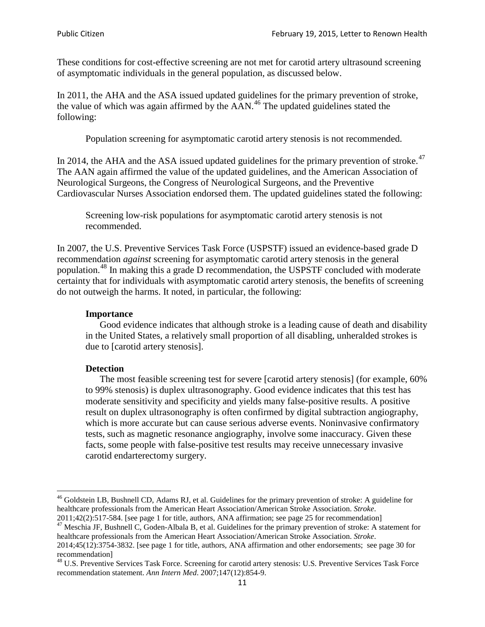These conditions for cost-effective screening are not met for carotid artery ultrasound screening of asymptomatic individuals in the general population, as discussed below.

In 2011, the AHA and the ASA issued updated guidelines for the primary prevention of stroke, the value of which was again affirmed by the  $AAN<sup>46</sup>$  $AAN<sup>46</sup>$  $AAN<sup>46</sup>$ . The updated guidelines stated the following:

Population screening for asymptomatic carotid artery stenosis is not recommended.

In 2014, the AHA and the ASA issued updated guidelines for the primary prevention of stroke.<sup>47</sup> The AAN again affirmed the value of the updated guidelines, and the American Association of Neurological Surgeons, the Congress of Neurological Surgeons, and the Preventive Cardiovascular Nurses Association endorsed them. The updated guidelines stated the following:

Screening low-risk populations for asymptomatic carotid artery stenosis is not recommended.

In 2007, the U.S. Preventive Services Task Force (USPSTF) issued an evidence-based grade D recommendation *against* screening for asymptomatic carotid artery stenosis in the general population.[48](#page-10-2) In making this a grade D recommendation, the USPSTF concluded with moderate certainty that for individuals with asymptomatic carotid artery stenosis, the benefits of screening do not outweigh the harms. It noted, in particular, the following:

#### **Importance**

Good evidence indicates that although stroke is a leading cause of death and disability in the United States, a relatively small proportion of all disabling, unheralded strokes is due to [carotid artery stenosis].

#### **Detection**

The most feasible screening test for severe [carotid artery stenosis] (for example, 60% to 99% stenosis) is duplex ultrasonography. Good evidence indicates that this test has moderate sensitivity and specificity and yields many false-positive results. A positive result on duplex ultrasonography is often confirmed by digital subtraction angiography, which is more accurate but can cause serious adverse events. Noninvasive confirmatory tests, such as magnetic resonance angiography, involve some inaccuracy. Given these facts, some people with false-positive test results may receive unnecessary invasive carotid endarterectomy surgery.

<span id="page-10-0"></span><sup>&</sup>lt;sup>46</sup> Goldstein LB, Bushnell CD, Adams RJ, et al. Guidelines for the primary prevention of stroke: A guideline for healthcare professionals from the American Heart Association/American Stroke Association. *Stroke*.<br>2011;42(2):517-584. [see page 1 for title, authors, ANA affirmation; see page 25 for recommendation]

<span id="page-10-1"></span><sup>&</sup>lt;sup>47</sup> Meschia JF, Bushnell C, Goden-Albala B, et al. Guidelines for the primary prevention of stroke: A statement for healthcare professionals from the American Heart Association/American Stroke Association. *Stroke*. 2014;45(12):3754-3832. [see page 1 for title, authors, ANA affirmation and other endorsements; see page 30 for

recommendation]<br><sup>48</sup> U.S. Preventive Services Task Force. Screening for carotid artery stenosis: U.S. Preventive Services Task Force

<span id="page-10-2"></span>recommendation statement. *Ann Intern Med*. 2007;147(12):854-9.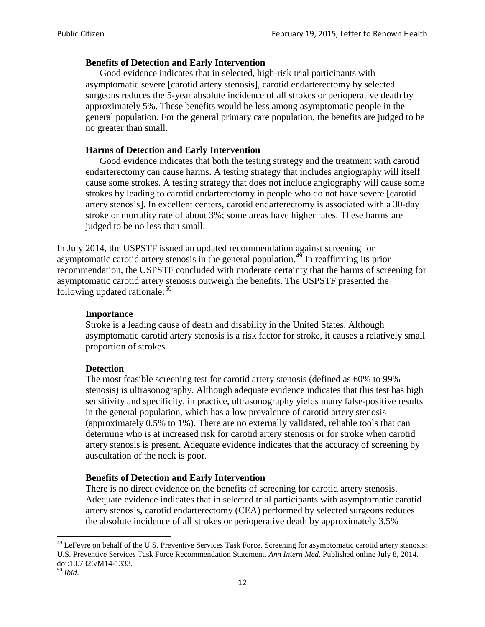## **Benefits of Detection and Early Intervention**

Good evidence indicates that in selected, high-risk trial participants with asymptomatic severe [carotid artery stenosis], carotid endarterectomy by selected surgeons reduces the 5-year absolute incidence of all strokes or perioperative death by approximately 5%. These benefits would be less among asymptomatic people in the general population. For the general primary care population, the benefits are judged to be no greater than small.

## **Harms of Detection and Early Intervention**

Good evidence indicates that both the testing strategy and the treatment with carotid endarterectomy can cause harms. A testing strategy that includes angiography will itself cause some strokes. A testing strategy that does not include angiography will cause some strokes by leading to carotid endarterectomy in people who do not have severe [carotid artery stenosis]. In excellent centers, carotid endarterectomy is associated with a 30-day stroke or mortality rate of about 3%; some areas have higher rates. These harms are judged to be no less than small.

In July 2014, the USPSTF issued an updated recommendation against screening for asymptomatic carotid artery stenosis in the general population.<sup>[49](#page-11-0)</sup> In reaffirming its prior recommendation, the USPSTF concluded with moderate certainty that the harms of screening for asymptomatic carotid artery stenosis outweigh the benefits. The USPSTF presented the following updated rationale: $50$ 

#### **Importance**

Stroke is a leading cause of death and disability in the United States. Although asymptomatic carotid artery stenosis is a risk factor for stroke, it causes a relatively small proportion of strokes.

#### **Detection**

The most feasible screening test for carotid artery stenosis (defined as 60% to 99% stenosis) is ultrasonography. Although adequate evidence indicates that this test has high sensitivity and specificity, in practice, ultrasonography yields many false-positive results in the general population, which has a low prevalence of carotid artery stenosis (approximately 0.5% to 1%). There are no externally validated, reliable tools that can determine who is at increased risk for carotid artery stenosis or for stroke when carotid artery stenosis is present. Adequate evidence indicates that the accuracy of screening by auscultation of the neck is poor.

## **Benefits of Detection and Early Intervention**

There is no direct evidence on the benefits of screening for carotid artery stenosis. Adequate evidence indicates that in selected trial participants with asymptomatic carotid artery stenosis, carotid endarterectomy (CEA) performed by selected surgeons reduces the absolute incidence of all strokes or perioperative death by approximately 3.5%

<span id="page-11-0"></span><sup>&</sup>lt;sup>49</sup> LeFevre on behalf of the U.S. Preventive Services Task Force. Screening for asymptomatic carotid artery stenosis: U.S. Preventive Services Task Force Recommendation Statement. *Ann Intern Med*. Published online July 8, 2014. doi:10.7326/M14-1333. <sup>50</sup> *Ibid*.

<span id="page-11-1"></span>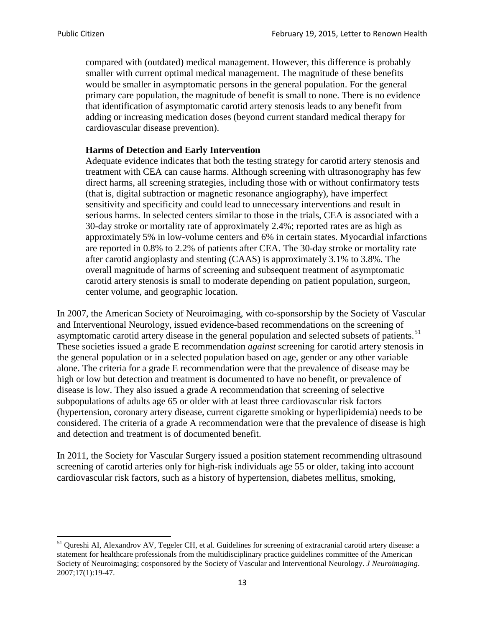compared with (outdated) medical management. However, this difference is probably smaller with current optimal medical management. The magnitude of these benefits would be smaller in asymptomatic persons in the general population. For the general primary care population, the magnitude of benefit is small to none. There is no evidence that identification of asymptomatic carotid artery stenosis leads to any benefit from adding or increasing medication doses (beyond current standard medical therapy for cardiovascular disease prevention).

#### **Harms of Detection and Early Intervention**

Adequate evidence indicates that both the testing strategy for carotid artery stenosis and treatment with CEA can cause harms. Although screening with ultrasonography has few direct harms, all screening strategies, including those with or without confirmatory tests (that is, digital subtraction or magnetic resonance angiography), have imperfect sensitivity and specificity and could lead to unnecessary interventions and result in serious harms. In selected centers similar to those in the trials, CEA is associated with a 30-day stroke or mortality rate of approximately 2.4%; reported rates are as high as approximately 5% in low-volume centers and 6% in certain states. Myocardial infarctions are reported in 0.8% to 2.2% of patients after CEA. The 30-day stroke or mortality rate after carotid angioplasty and stenting (CAAS) is approximately 3.1% to 3.8%. The overall magnitude of harms of screening and subsequent treatment of asymptomatic carotid artery stenosis is small to moderate depending on patient population, surgeon, center volume, and geographic location.

In 2007, the American Society of Neuroimaging, with co-sponsorship by the Society of Vascular and Interventional Neurology, issued evidence-based recommendations on the screening of asymptomatic carotid artery disease in the general population and selected subsets of patients.<sup>[51](#page-12-0)</sup> These societies issued a grade E recommendation *against* screening for carotid artery stenosis in the general population or in a selected population based on age, gender or any other variable alone. The criteria for a grade E recommendation were that the prevalence of disease may be high or low but detection and treatment is documented to have no benefit, or prevalence of disease is low. They also issued a grade A recommendation that screening of selective subpopulations of adults age 65 or older with at least three cardiovascular risk factors (hypertension, coronary artery disease, current cigarette smoking or hyperlipidemia) needs to be considered. The criteria of a grade A recommendation were that the prevalence of disease is high and detection and treatment is of documented benefit.

In 2011, the Society for Vascular Surgery issued a position statement recommending ultrasound screening of carotid arteries only for high-risk individuals age 55 or older, taking into account cardiovascular risk factors, such as a history of hypertension, diabetes mellitus, smoking,

<span id="page-12-0"></span><sup>&</sup>lt;sup>51</sup> Qureshi AI, Alexandrov AV, Tegeler CH, et al. Guidelines for screening of extracranial carotid artery disease: a statement for healthcare professionals from the multidisciplinary practice guidelines committee of the American Society of Neuroimaging; cosponsored by the Society of Vascular and Interventional Neurology. *J Neuroimaging*. 2007;17(1):19-47.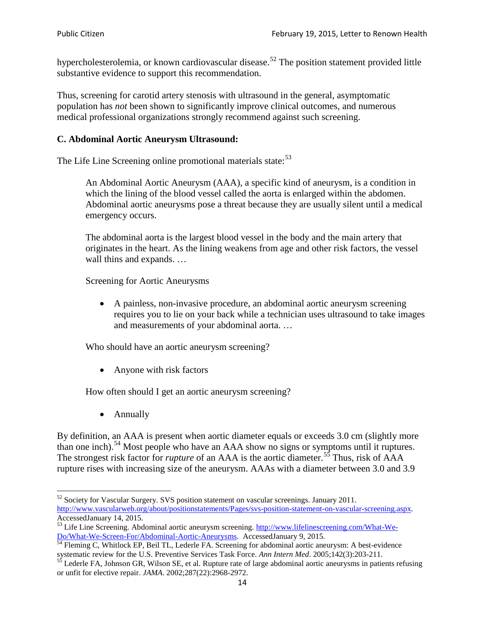hypercholesterolemia, or known cardiovascular disease.<sup>[52](#page-13-0)</sup> The position statement provided little substantive evidence to support this recommendation.

Thus, screening for carotid artery stenosis with ultrasound in the general, asymptomatic population has *not* been shown to significantly improve clinical outcomes, and numerous medical professional organizations strongly recommend against such screening.

#### **C. Abdominal Aortic Aneurysm Ultrasound:**

The Life Line Screening online promotional materials state:<sup>[53](#page-13-1)</sup>

An Abdominal Aortic Aneurysm (AAA), a specific kind of aneurysm, is a condition in which the lining of the blood vessel called the aorta is enlarged within the abdomen. Abdominal aortic aneurysms pose a threat because they are usually silent until a medical emergency occurs.

The abdominal aorta is the largest blood vessel in the body and the main artery that originates in the heart. As the lining weakens from age and other risk factors, the vessel wall thins and expands. …

Screening for Aortic Aneurysms

• A painless, non-invasive procedure, an abdominal aortic aneurysm screening requires you to lie on your back while a technician uses ultrasound to take images and measurements of your abdominal aorta. …

Who should have an aortic aneurysm screening?

• Anyone with risk factors

How often should I get an aortic aneurysm screening?

• Annually

By definition, an AAA is present when aortic diameter equals or exceeds 3.0 cm (slightly more than one inch).<sup>[54](#page-13-2)</sup> Most people who have an AAA show no signs or symptoms until it ruptures. The strongest risk factor for *rupture* of an AAA is the aortic diameter.<sup>[55](#page-13-3)</sup> Thus, risk of AAA rupture rises with increasing size of the aneurysm. AAAs with a diameter between 3.0 and 3.9

<span id="page-13-0"></span> $52$  Society for Vascular Surgery. SVS position statement on vascular screenings. January 2011. http://www.vascularweb.org/about/positionstatements/Pages/svs-position-statement-on-vascular-screening.aspx.<br>Accessed January 14, 2015.

<span id="page-13-1"></span>Accessed January 14, 2015.<br>
Sa Life Line Screening. Abdominal aortic aneurysm screening. http://www.lifelinescreening.com/What-We-<br>
Do/What-We-Screen-For/Abdominal-Aortic-Aneurysms. Accessed January 9, 2015.

<span id="page-13-2"></span> $\frac{1}{54}$  Fleming C, Whitlock EP, Beil TL, Lederle FA. Screening for abdominal aortic aneurysm: A best-evidence systematic review for the U.S. Preventive Services Task Force. *Ann Intern Med.* 2005;142(3):203-211.<br><sup>55</sup> Lederle FA, Johnson GR, Wilson SE, et al. Rupture rate of large abdominal aortic aneurysms in patients refusing

<span id="page-13-3"></span>or unfit for elective repair. *JAMA*. 2002;287(22):2968-2972.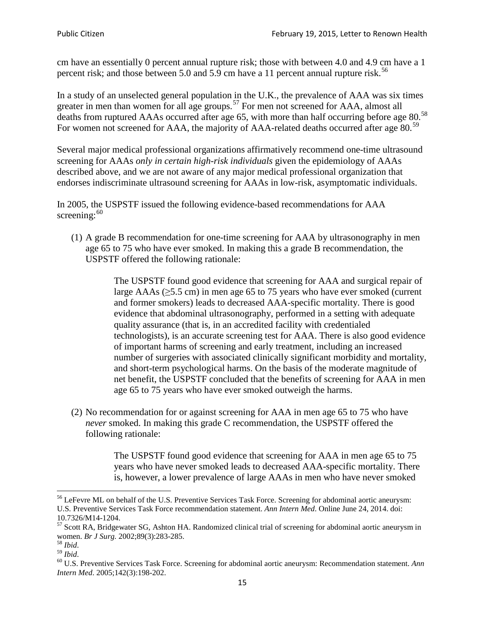cm have an essentially 0 percent annual rupture risk; those with between 4.0 and 4.9 cm have a 1 percent risk; and those between 5.0 and 5.9 cm have a 11 percent annual rupture risk.<sup>[56](#page-14-0)</sup>

In a study of an unselected general population in the U.K., the prevalence of AAA was six times greater in men than women for all age groups.<sup>[57](#page-14-1)</sup> For men not screened for  $AAA$ , almost all deaths from ruptured AAAs occurred after age 65, with more than half occurring before age 80.<sup>[58](#page-14-2)</sup> For women not screened for AAA, the majority of AAA-related deaths occurred after age 80.<sup>[59](#page-14-3)</sup>

Several major medical professional organizations affirmatively recommend one-time ultrasound screening for AAAs *only in certain high-risk individuals* given the epidemiology of AAAs described above, and we are not aware of any major medical professional organization that endorses indiscriminate ultrasound screening for AAAs in low-risk, asymptomatic individuals.

In 2005, the USPSTF issued the following evidence-based recommendations for AAA screening: $60$ 

(1) A grade B recommendation for one-time screening for AAA by ultrasonography in men age 65 to 75 who have ever smoked. In making this a grade [B recommendation,](http://www.uspreventiveservicestaskforce.org/uspstf/gradespre.htm#brec) the USPSTF offered the following rationale:

> The USPSTF found good evidence that screening for AAA and surgical repair of large AAAs ( $\geq$ 5.5 cm) in men age 65 to 75 years who have ever smoked (current and former smokers) leads to decreased AAA-specific mortality. There is good evidence that abdominal ultrasonography, performed in a setting with adequate quality assurance (that is, in an accredited facility with credentialed technologists), is an accurate screening test for AAA. There is also good evidence of important harms of screening and early treatment, including an increased number of surgeries with associated clinically significant morbidity and mortality, and short-term psychological harms. On the basis of the moderate magnitude of net benefit, the USPSTF concluded that the benefits of screening for AAA in men age 65 to 75 years who have ever smoked outweigh the harms.

(2) No recommendation for or against screening for AAA in men age 65 to 75 who have *never* smoked. In making this grade C recommendation, the USPSTF offered the following rationale:

> The USPSTF found good evidence that screening for AAA in men age 65 to 75 years who have never smoked leads to decreased AAA-specific mortality. There is, however, a lower prevalence of large AAAs in men who have never smoked

<span id="page-14-0"></span><sup>&</sup>lt;sup>56</sup> LeFevre ML on behalf of the U.S. Preventive Services Task Force. Screening for abdominal aortic aneurysm: U.S. Preventive Services Task Force recommendation statement. *Ann Intern Med*. Online June 24, 2014. doi:

<span id="page-14-1"></span><sup>10.7326/</sup>M14-1204.<br> $57$  Scott RA, Bridgewater SG, Ashton HA. Randomized clinical trial of screening for abdominal aortic aneurysm in women. *Br J Surg.* 2002;89(3):283-285.

<span id="page-14-4"></span><span id="page-14-3"></span>

<span id="page-14-2"></span><sup>&</sup>lt;sup>58</sup> *Ibid.*<br><sup>59</sup> *Ibid.* 2002;<br><sup>60</sup> U.S. Preventive Services Task Force. Screening for abdominal aortic aneurysm: Recommendation statement. *Ann Intern Med*. 2005;142(3):198-202.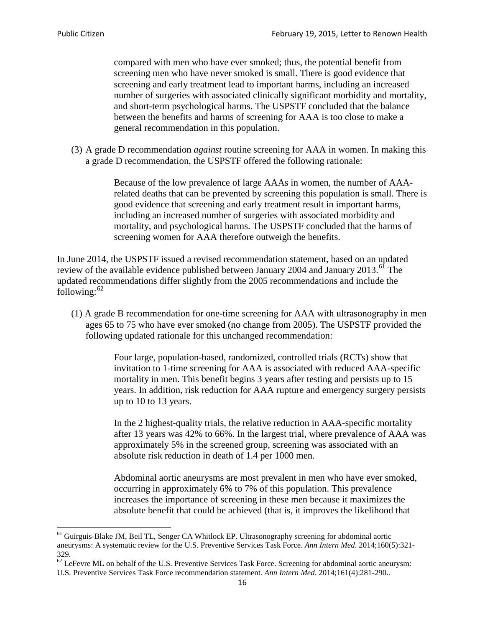compared with men who have ever smoked; thus, the potential benefit from screening men who have never smoked is small. There is good evidence that screening and early treatment lead to important harms, including an increased number of surgeries with associated clinically significant morbidity and mortality, and short-term psychological harms. The USPSTF concluded that the balance between the benefits and harms of screening for AAA is too close to make a general recommendation in this population.

(3) A grade D recommendation *against* routine screening for AAA in women. In making this a grade D recommendation, the USPSTF offered the following rationale:

> Because of the low prevalence of large AAAs in women, the number of AAArelated deaths that can be prevented by screening this population is small. There is good evidence that screening and early treatment result in important harms, including an increased number of surgeries with associated morbidity and mortality, and psychological harms. The USPSTF concluded that the harms of screening women for AAA therefore outweigh the benefits.

In June 2014, the USPSTF issued a revised recommendation statement, based on an updated review of the available evidence published between January 2004 and January 2013.<sup>[61](#page-15-0)</sup> The updated recommendations differ slightly from the 2005 recommendations and include the following: $62$ 

(1) A grade B recommendation for one-time screening for AAA with ultrasonography in men ages 65 to 75 who have ever smoked (no change from 2005). The USPSTF provided the following updated rationale for this unchanged recommendation:

> Four large, population-based, randomized, controlled trials (RCTs) show that invitation to 1-time screening for AAA is associated with reduced AAA-specific mortality in men. This benefit begins 3 years after testing and persists up to 15 years. In addition, risk reduction for AAA rupture and emergency surgery persists up to 10 to 13 years.

> In the 2 highest-quality trials, the relative reduction in AAA-specific mortality after 13 years was 42% to 66%. In the largest trial, where prevalence of AAA was approximately 5% in the screened group, screening was associated with an absolute risk reduction in death of 1.4 per 1000 men.

Abdominal aortic aneurysms are most prevalent in men who have ever smoked, occurring in approximately 6% to 7% of this population. This prevalence increases the importance of screening in these men because it maximizes the absolute benefit that could be achieved (that is, it improves the likelihood that

<span id="page-15-0"></span><sup>61</sup> Guirguis-Blake JM, Beil TL, Senger CA Whitlock EP. Ultrasonography screening for abdominal aortic aneurysms: A systematic review for the U.S. Preventive Services Task Force. *Ann Intern Med*. 2014;160(5):321- 329.

<span id="page-15-1"></span> $62$  LeFevre ML on behalf of the U.S. Preventive Services Task Force. Screening for abdominal aortic aneurysm: U.S. Preventive Services Task Force recommendation statement. *Ann Intern Med*. 2014;161(4):281-290..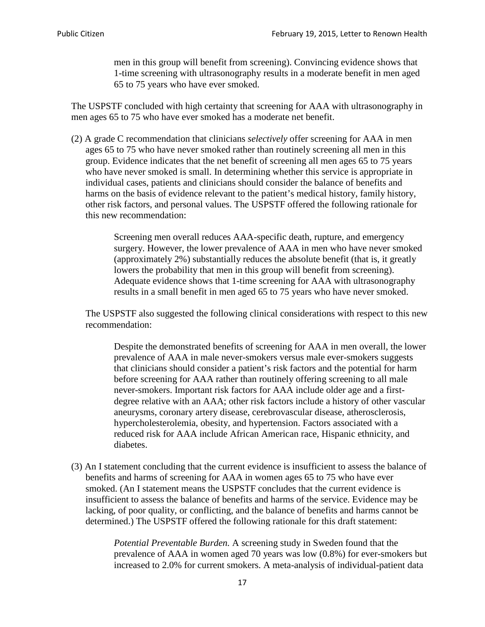men in this group will benefit from screening). Convincing evidence shows that 1-time screening with ultrasonography results in a moderate benefit in men aged 65 to 75 years who have ever smoked.

The USPSTF concluded with high certainty that screening for AAA with ultrasonography in men ages 65 to 75 who have ever smoked has a moderate net benefit.

(2) A grade C recommendation that clinicians *selectively* offer screening for AAA in men ages 65 to 75 who have never smoked rather than routinely screening all men in this group. Evidence indicates that the net benefit of screening all men ages 65 to 75 years who have never smoked is small. In determining whether this service is appropriate in individual cases, patients and clinicians should consider the balance of benefits and harms on the basis of evidence relevant to the patient's medical history, family history, other risk factors, and personal values. The USPSTF offered the following rationale for this new recommendation:

> Screening men overall reduces AAA-specific death, rupture, and emergency surgery. However, the lower prevalence of AAA in men who have never smoked (approximately 2%) substantially reduces the absolute benefit (that is, it greatly lowers the probability that men in this group will benefit from screening). Adequate evidence shows that 1-time screening for AAA with ultrasonography results in a small benefit in men aged 65 to 75 years who have never smoked.

The USPSTF also suggested the following clinical considerations with respect to this new recommendation:

Despite the demonstrated benefits of screening for AAA in men overall, the lower prevalence of AAA in male never-smokers versus male ever-smokers suggests that clinicians should consider a patient's risk factors and the potential for harm before screening for AAA rather than routinely offering screening to all male never-smokers. Important risk factors for AAA include older age and a firstdegree relative with an AAA; other risk factors include a history of other vascular aneurysms, coronary artery disease, cerebrovascular disease, atherosclerosis, hypercholesterolemia, obesity, and hypertension. Factors associated with a reduced risk for AAA include African American race, Hispanic ethnicity, and diabetes.

(3) An I statement concluding that the current evidence is insufficient to assess the balance of benefits and harms of screening for AAA in women ages 65 to 75 who have ever smoked. (An I statement means the USPSTF concludes that the current evidence is insufficient to assess the balance of benefits and harms of the service. Evidence may be lacking, of poor quality, or conflicting, and the balance of benefits and harms cannot be determined.) The USPSTF offered the following rationale for this draft statement:

> *Potential Preventable Burden.* A screening study in Sweden found that the prevalence of AAA in women aged 70 years was low (0.8%) for ever-smokers but increased to 2.0% for current smokers. A meta-analysis of individual-patient data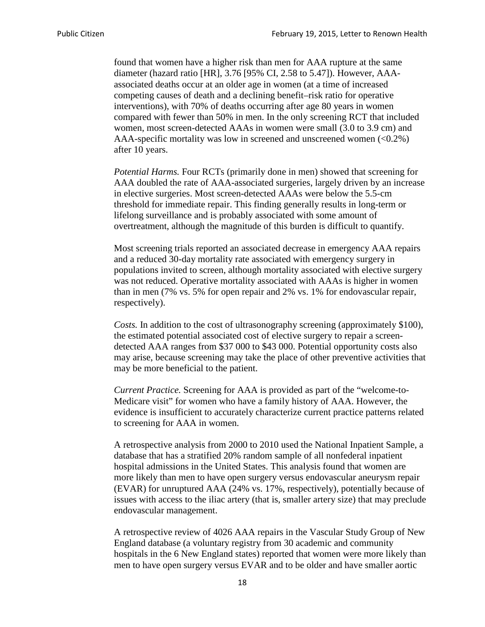found that women have a higher risk than men for AAA rupture at the same diameter (hazard ratio [HR], 3.76 [95% CI, 2.58 to 5.47]). However, AAAassociated deaths occur at an older age in women (at a time of increased competing causes of death and a declining benefit–risk ratio for operative interventions), with 70% of deaths occurring after age 80 years in women compared with fewer than 50% in men. In the only screening RCT that included women, most screen-detected AAAs in women were small (3.0 to 3.9 cm) and AAA-specific mortality was low in screened and unscreened women  $(<0.2\%)$ after 10 years.

*Potential Harms.* Four RCTs (primarily done in men) showed that screening for AAA doubled the rate of AAA-associated surgeries, largely driven by an increase in elective surgeries. Most screen-detected AAAs were below the 5.5-cm threshold for immediate repair. This finding generally results in long-term or lifelong surveillance and is probably associated with some amount of overtreatment, although the magnitude of this burden is difficult to quantify.

Most screening trials reported an associated decrease in emergency AAA repairs and a reduced 30-day mortality rate associated with emergency surgery in populations invited to screen, although mortality associated with elective surgery was not reduced. Operative mortality associated with AAAs is higher in women than in men (7% vs. 5% for open repair and 2% vs. 1% for endovascular repair, respectively).

*Costs.* In addition to the cost of ultrasonography screening (approximately \$100), the estimated potential associated cost of elective surgery to repair a screendetected AAA ranges from \$37 000 to \$43 000. Potential opportunity costs also may arise, because screening may take the place of other preventive activities that may be more beneficial to the patient.

*Current Practice.* Screening for AAA is provided as part of the "welcome-to-Medicare visit" for women who have a family history of AAA. However, the evidence is insufficient to accurately characterize current practice patterns related to screening for AAA in women.

A retrospective analysis from 2000 to 2010 used the National Inpatient Sample, a database that has a stratified 20% random sample of all nonfederal inpatient hospital admissions in the United States. This analysis found that women are more likely than men to have open surgery versus endovascular aneurysm repair (EVAR) for unruptured AAA (24% vs. 17%, respectively), potentially because of issues with access to the iliac artery (that is, smaller artery size) that may preclude endovascular management.

A retrospective review of 4026 AAA repairs in the Vascular Study Group of New England database (a voluntary registry from 30 academic and community hospitals in the 6 New England states) reported that women were more likely than men to have open surgery versus EVAR and to be older and have smaller aortic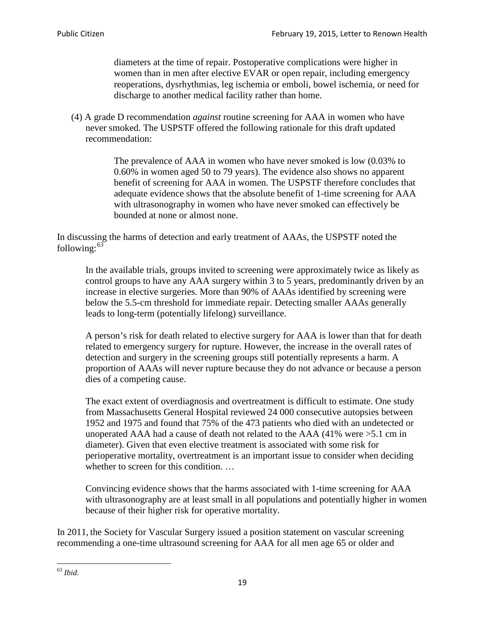diameters at the time of repair. Postoperative complications were higher in women than in men after elective EVAR or open repair, including emergency reoperations, dysrhythmias, leg ischemia or emboli, bowel ischemia, or need for discharge to another medical facility rather than home.

(4) A grade D recommendation *against* routine screening for AAA in women who have never smoked. The USPSTF offered the following rationale for this draft updated recommendation:

> The prevalence of AAA in women who have never smoked is low (0.03% to 0.60% in women aged 50 to 79 years). The evidence also shows no apparent benefit of screening for AAA in women. The USPSTF therefore concludes that adequate evidence shows that the absolute benefit of 1-time screening for AAA with ultrasonography in women who have never smoked can effectively be bounded at none or almost none.

In discussing the harms of detection and early treatment of AAAs, the USPSTF noted the following: $63$ 

In the available trials, groups invited to screening were approximately twice as likely as control groups to have any AAA surgery within 3 to 5 years, predominantly driven by an increase in elective surgeries. More than 90% of AAAs identified by screening were below the 5.5-cm threshold for immediate repair. Detecting smaller AAAs generally leads to long-term (potentially lifelong) surveillance.

A person's risk for death related to elective surgery for AAA is lower than that for death related to emergency surgery for rupture. However, the increase in the overall rates of detection and surgery in the screening groups still potentially represents a harm. A proportion of AAAs will never rupture because they do not advance or because a person dies of a competing cause.

The exact extent of overdiagnosis and overtreatment is difficult to estimate. One study from Massachusetts General Hospital reviewed 24 000 consecutive autopsies between 1952 and 1975 and found that 75% of the 473 patients who died with an undetected or unoperated AAA had a cause of death not related to the AAA (41% were >5.1 cm in diameter). Given that even elective treatment is associated with some risk for perioperative mortality, overtreatment is an important issue to consider when deciding whether to screen for this condition....

Convincing evidence shows that the harms associated with 1-time screening for AAA with ultrasonography are at least small in all populations and potentially higher in women because of their higher risk for operative mortality.

In 2011, the Society for Vascular Surgery issued a position statement on vascular screening recommending a one-time ultrasound screening for AAA for all men age 65 or older and

<span id="page-18-0"></span><sup>63</sup> *Ibid*.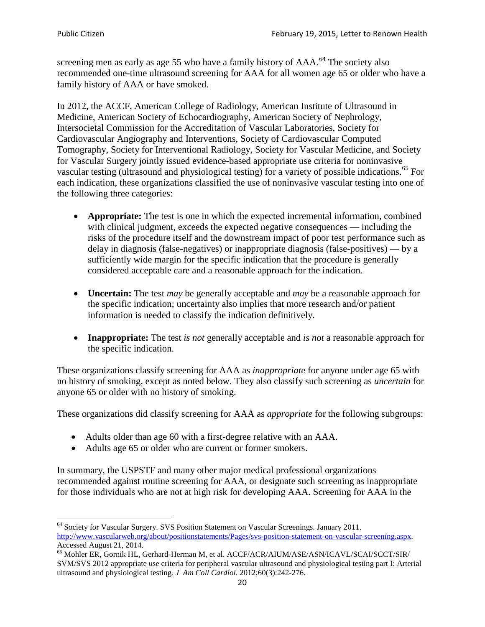screening men as early as age 55 who have a family history of AAA.<sup>[64](#page-19-0)</sup> The society also recommended one-time ultrasound screening for AAA for all women age 65 or older who have a family history of AAA or have smoked.

In 2012, the ACCF, American College of Radiology, American Institute of Ultrasound in Medicine, American Society of Echocardiography, American Society of Nephrology, Intersocietal Commission for the Accreditation of Vascular Laboratories, Society for Cardiovascular Angiography and Interventions, Society of Cardiovascular Computed Tomography, Society for Interventional Radiology, Society for Vascular Medicine, and Society for Vascular Surgery jointly issued evidence-based appropriate use criteria for noninvasive vascular testing (ultrasound and physiological testing) for a variety of possible indications.<sup>[65](#page-19-1)</sup> For each indication, these organizations classified the use of noninvasive vascular testing into one of the following three categories:

- **Appropriate:** The test is one in which the expected incremental information, combined with clinical judgment, exceeds the expected negative consequences — including the risks of the procedure itself and the downstream impact of poor test performance such as delay in diagnosis (false-negatives) or inappropriate diagnosis (false-positives) — by a sufficiently wide margin for the specific indication that the procedure is generally considered acceptable care and a reasonable approach for the indication.
- **Uncertain:** The test *may* be generally acceptable and *may* be a reasonable approach for the specific indication; uncertainty also implies that more research and/or patient information is needed to classify the indication definitively.
- **Inappropriate:** The test *is not* generally acceptable and *is not* a reasonable approach for the specific indication.

These organizations classify screening for AAA as *inappropriate* for anyone under age 65 with no history of smoking, except as noted below. They also classify such screening as *uncertain* for anyone 65 or older with no history of smoking.

These organizations did classify screening for AAA as *appropriate* for the following subgroups:

- Adults older than age 60 with a first-degree relative with an AAA.
- Adults age 65 or older who are current or former smokers.

In summary, the USPSTF and many other major medical professional organizations recommended against routine screening for AAA, or designate such screening as inappropriate for those individuals who are not at high risk for developing AAA. Screening for AAA in the

<span id="page-19-0"></span><sup>64</sup> Society for Vascular Surgery. SVS Position Statement on Vascular Screenings. January 2011. [http://www.vascularweb.org/about/positionstatements/Pages/svs-position-statement-on-vascular-screening.aspx.](http://www.vascularweb.org/about/positionstatements/Pages/svs-position-statement-on-vascular-screening.aspx) 

<span id="page-19-1"></span>Accessed August 21, 2014.<br><sup>65</sup> Mohler ER, Gornik HL, Gerhard-Herman M, et al. ACCF/ACR/AIUM/ASE/ASN/ICAVL/SCAI/SCCT/SIR/ SVM/SVS 2012 appropriate use criteria for peripheral vascular ultrasound and physiological testing part I: Arterial ultrasound and physiological testing*. J Am Coll Cardiol*. 2012;60(3):242-276.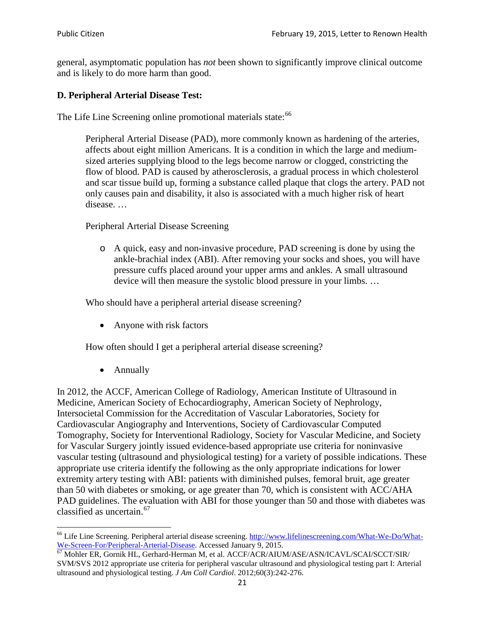general, asymptomatic population has *not* been shown to significantly improve clinical outcome and is likely to do more harm than good.

## **D. Peripheral Arterial Disease Test:**

The Life Line Screening online promotional materials state:<sup>[66](#page-20-0)</sup>

Peripheral Arterial Disease (PAD), more commonly known as hardening of the arteries, affects about eight million Americans. It is a condition in which the large and mediumsized arteries supplying blood to the legs become narrow or clogged, constricting the flow of blood. PAD is caused by atherosclerosis, a gradual process in which cholesterol and scar tissue build up, forming a substance called plaque that clogs the artery. PAD not only causes pain and disability, it also is associated with a much higher risk of heart disease. …

Peripheral Arterial Disease Screening

o A quick, easy and non-invasive procedure, PAD screening is done by using the ankle-brachial index (ABI). After removing your socks and shoes, you will have pressure cuffs placed around your upper arms and ankles. A small ultrasound device will then measure the systolic blood pressure in your limbs. …

Who should have a peripheral arterial disease screening?

• Anyone with risk factors

How often should I get a peripheral arterial disease screening?

• Annually

In 2012, the ACCF, American College of Radiology, American Institute of Ultrasound in Medicine, American Society of Echocardiography, American Society of Nephrology, Intersocietal Commission for the Accreditation of Vascular Laboratories, Society for Cardiovascular Angiography and Interventions, Society of Cardiovascular Computed Tomography, Society for Interventional Radiology, Society for Vascular Medicine, and Society for Vascular Surgery jointly issued evidence-based appropriate use criteria for noninvasive vascular testing (ultrasound and physiological testing) for a variety of possible indications. These appropriate use criteria identify the following as the only appropriate indications for lower extremity artery testing with ABI: patients with diminished pulses, femoral bruit, age greater than 50 with diabetes or smoking, or age greater than 70, which is consistent with ACC/AHA PAD guidelines. The evaluation with ABI for those younger than 50 and those with diabetes was classified as uncertain.<sup>[67](#page-20-1)</sup>

<span id="page-20-0"></span><sup>&</sup>lt;sup>66</sup> Life Line Screening. Peripheral arterial disease screening. [http://www.lifelinescreening.com/What-We-Do/What-](http://www.lifelinescreening.com/What-We-Do/What-We-Screen-For/Peripheral-Arterial-Disease)

<span id="page-20-1"></span>[We-Screen-For/Peripheral-Arterial-Disease.](http://www.lifelinescreening.com/What-We-Do/What-We-Screen-For/Peripheral-Arterial-Disease) Accessed January 9, 2015.<br><sup>67</sup> Mohler ER, Gornik HL, Gerhard-Herman M, et al. ACCF/ACR/AIUM/ASE/ASN/ICAVL/SCAI/SCCT/SIR/ SVM/SVS 2012 appropriate use criteria for peripheral vascular ultrasound and physiological testing part I: Arterial ultrasound and physiological testing. *J Am Coll Cardiol*. 2012;60(3):242-276.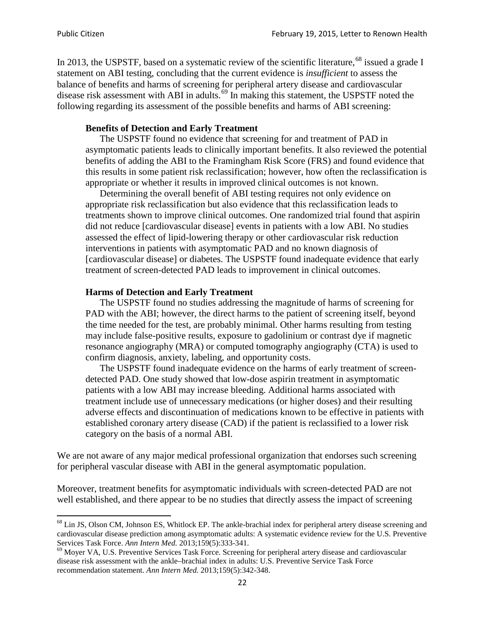In 2013, the USPSTF, based on a systematic review of the scientific literature,<sup>[68](#page-21-0)</sup> issued a grade I statement on ABI testing, concluding that the current evidence is *insufficient* to assess the balance of benefits and harms of screening for peripheral artery disease and cardiovascular disease risk assessment with ABI in adults.<sup>[69](#page-21-1)</sup> In making this statement, the USPSTF noted the following regarding its assessment of the possible benefits and harms of ABI screening:

#### **Benefits of Detection and Early Treatment**

The USPSTF found no evidence that screening for and treatment of PAD in asymptomatic patients leads to clinically important benefits. It also reviewed the potential benefits of adding the ABI to the Framingham Risk Score (FRS) and found evidence that this results in some patient risk reclassification; however, how often the reclassification is appropriate or whether it results in improved clinical outcomes is not known.

Determining the overall benefit of ABI testing requires not only evidence on appropriate risk reclassification but also evidence that this reclassification leads to treatments shown to improve clinical outcomes. One randomized trial found that aspirin did not reduce [cardiovascular disease] events in patients with a low ABI. No studies assessed the effect of lipid-lowering therapy or other cardiovascular risk reduction interventions in patients with asymptomatic PAD and no known diagnosis of [cardiovascular disease] or diabetes. The USPSTF found inadequate evidence that early treatment of screen-detected PAD leads to improvement in clinical outcomes.

#### **Harms of Detection and Early Treatment**

The USPSTF found no studies addressing the magnitude of harms of screening for PAD with the ABI; however, the direct harms to the patient of screening itself, beyond the time needed for the test, are probably minimal. Other harms resulting from testing may include false-positive results, exposure to gadolinium or contrast dye if magnetic resonance angiography (MRA) or computed tomography angiography (CTA) is used to confirm diagnosis, anxiety, labeling, and opportunity costs.

The USPSTF found inadequate evidence on the harms of early treatment of screendetected PAD. One study showed that low-dose aspirin treatment in asymptomatic patients with a low ABI may increase bleeding. Additional harms associated with treatment include use of unnecessary medications (or higher doses) and their resulting adverse effects and discontinuation of medications known to be effective in patients with established coronary artery disease (CAD) if the patient is reclassified to a lower risk category on the basis of a normal ABI.

We are not aware of any major medical professional organization that endorses such screening for peripheral vascular disease with ABI in the general asymptomatic population.

Moreover, treatment benefits for asymptomatic individuals with screen-detected PAD are not well established, and there appear to be no studies that directly assess the impact of screening

<span id="page-21-0"></span><sup>&</sup>lt;sup>68</sup> Lin JS, Olson CM, Johnson ES, Whitlock EP. The ankle-brachial index for peripheral artery disease screening and cardiovascular disease prediction among asymptomatic adults: A systematic evidence review for the U.S. Preventive Services Task Force. *Ann Intern Med.* 2013;159(5):333-341.<br><sup>69</sup> Moyer VA, U.S. Preventive Services Task Force. Screening for peripheral artery disease and cardiovascular

<span id="page-21-1"></span>disease risk assessment with the ankle–brachial index in adults: U.S. Preventive Service Task Force recommendation statement. *Ann Intern Med.* 2013;159(5):342-348.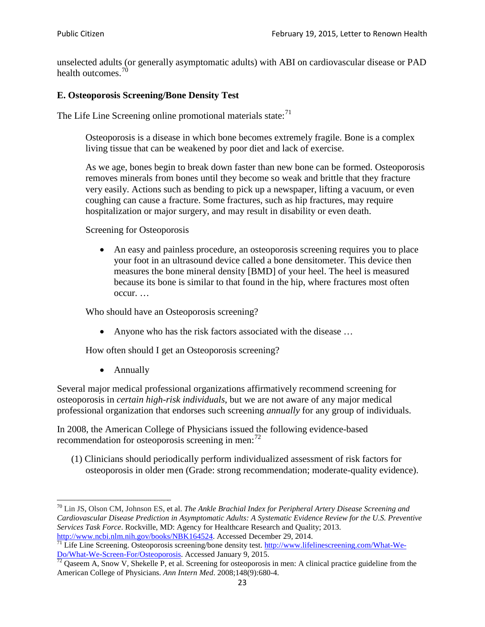unselected adults (or generally asymptomatic adults) with ABI on cardiovascular disease or PAD health outcomes.<sup>[70](#page-22-0)</sup>

## **E. Osteoporosis Screening/Bone Density Test**

The Life Line Screening online promotional materials state: $71$ 

Osteoporosis is a disease in which bone becomes extremely fragile. Bone is a complex living tissue that can be weakened by poor diet and lack of exercise.

As we age, bones begin to break down faster than new bone can be formed. Osteoporosis removes minerals from bones until they become so weak and brittle that they fracture very easily. Actions such as bending to pick up a newspaper, lifting a vacuum, or even coughing can cause a fracture. Some fractures, such as hip fractures, may require hospitalization or major surgery, and may result in disability or even death.

Screening for Osteoporosis

• An easy and painless procedure, an osteoporosis screening requires you to place your foot in an ultrasound device called a bone densitometer. This device then measures the bone mineral density [BMD] of your heel. The heel is measured because its bone is similar to that found in the hip, where fractures most often occur. …

Who should have an Osteoporosis screening?

• Anyone who has the risk factors associated with the disease ...

How often should I get an Osteoporosis screening?

• Annually

Several major medical professional organizations affirmatively recommend screening for osteoporosis in *certain high-risk individuals*, but we are not aware of any major medical professional organization that endorses such screening *annually* for any group of individuals.

In 2008, the American College of Physicians issued the following evidence-based recommendation for osteoporosis screening in men: $^{72}$  $^{72}$  $^{72}$ 

(1) Clinicians should periodically perform individualized assessment of risk factors for osteoporosis in older men (Grade: strong recommendation; moderate-quality evidence).

<span id="page-22-0"></span><sup>70</sup> [Lin JS,](http://www.ncbi.nlm.nih.gov/pubmed?term=Lin%20JS%5BAuthor%5D&cauthor=true&cauthor_uid=24156115) [Olson CM,](http://www.ncbi.nlm.nih.gov/pubmed?term=Olson%20CM%5BAuthor%5D&cauthor=true&cauthor_uid=24156115) [Johnson ES,](http://www.ncbi.nlm.nih.gov/pubmed?term=Johnson%20ES%5BAuthor%5D&cauthor=true&cauthor_uid=24156115) et al. *The Ankle Brachial Index for Peripheral Artery Disease Screening and Cardiovascular Disease Prediction in Asymptomatic Adults: A Systematic Evidence Review for the U.S. Preventive Services Task Force*. Rockville, MD: Agency for Healthcare Research and Quality; 2013.<br>http://www.ncbi.nlm.nih.gov/books/NBK164524. Accessed December 29, 2014.

<span id="page-22-1"></span> $\frac{1}{71}$  Life Line Screening. Osteoporosis screening/bone density test. [http://www.lifelinescreening.com/What-We-](http://www.lifelinescreening.com/What-We-Do/What-We-Screen-For/Osteoporosis)[Do/What-We-Screen-For/Osteoporosis.](http://www.lifelinescreening.com/What-We-Do/What-We-Screen-For/Osteoporosis) Accessed January 9, 2015. <sup>72</sup> Qaseem A, Snow V, Shekelle P, et al. Screening for osteoporosis in men: A clinical practice guideline from the

<span id="page-22-2"></span>American College of Physicians. *Ann Intern Med*. 2008;148(9):680-4.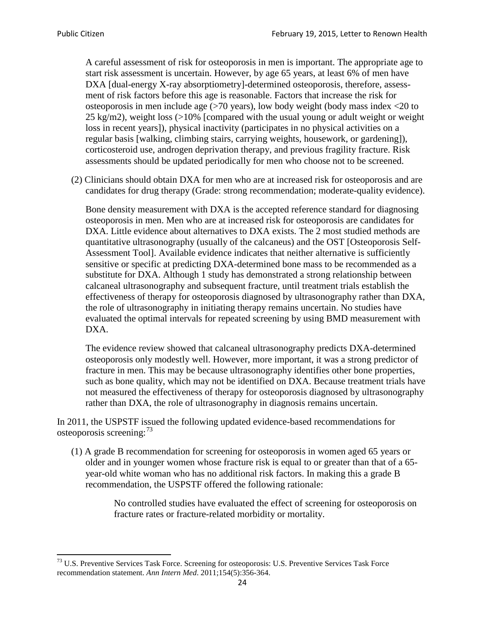A careful assessment of risk for osteoporosis in men is important. The appropriate age to start risk assessment is uncertain. However, by age 65 years, at least 6% of men have DXA [dual-energy X-ray absorptiometry]-determined osteoporosis, therefore, assessment of risk factors before this age is reasonable. Factors that increase the risk for osteoporosis in men include age (>70 years), low body weight (body mass index <20 to 25 kg/m2), weight loss (>10% [compared with the usual young or adult weight or weight loss in recent years]), physical inactivity (participates in no physical activities on a regular basis [walking, climbing stairs, carrying weights, housework, or gardening]), corticosteroid use, androgen deprivation therapy, and previous fragility fracture. Risk assessments should be updated periodically for men who choose not to be screened.

(2) Clinicians should obtain DXA for men who are at increased risk for osteoporosis and are candidates for drug therapy (Grade: strong recommendation; moderate-quality evidence).

Bone density measurement with DXA is the accepted reference standard for diagnosing osteoporosis in men. Men who are at increased risk for osteoporosis are candidates for DXA. Little evidence about alternatives to DXA exists. The 2 most studied methods are quantitative ultrasonography (usually of the calcaneus) and the OST [Osteoporosis Self-Assessment Tool]. Available evidence indicates that neither alternative is sufficiently sensitive or specific at predicting DXA-determined bone mass to be recommended as a substitute for DXA. Although 1 study has demonstrated a strong relationship between calcaneal ultrasonography and subsequent fracture, until treatment trials establish the effectiveness of therapy for osteoporosis diagnosed by ultrasonography rather than DXA, the role of ultrasonography in initiating therapy remains uncertain. No studies have evaluated the optimal intervals for repeated screening by using BMD measurement with DXA.

The evidence review showed that calcaneal ultrasonography predicts DXA-determined osteoporosis only modestly well. However, more important, it was a strong predictor of fracture in men. This may be because ultrasonography identifies other bone properties, such as bone quality, which may not be identified on DXA. Because treatment trials have not measured the effectiveness of therapy for osteoporosis diagnosed by ultrasonography rather than DXA, the role of ultrasonography in diagnosis remains uncertain.

In 2011, the USPSTF issued the following updated evidence-based recommendations for osteoporosis screening:<sup>[73](#page-23-0)</sup>

(1) A grade B recommendation for screening for osteoporosis in women aged 65 years or older and in younger women whose fracture risk is equal to or greater than that of a 65 year-old white woman who has no additional risk factors. In making this a grade B recommendation, the USPSTF offered the following rationale:

> No controlled studies have evaluated the effect of screening for osteoporosis on fracture rates or fracture-related morbidity or mortality.

<span id="page-23-0"></span><sup>&</sup>lt;sup>73</sup> U.S. Preventive Services Task Force. Screening for osteoporosis: U.S. Preventive Services Task Force recommendation statement. *Ann Intern Med*. 2011;154(5):356-364.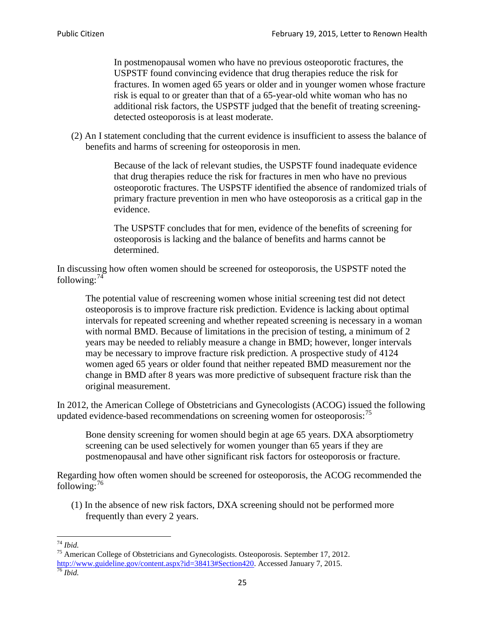In postmenopausal women who have no previous osteoporotic fractures, the USPSTF found convincing evidence that drug therapies reduce the risk for fractures. In women aged 65 years or older and in younger women whose fracture risk is equal to or greater than that of a 65-year-old white woman who has no additional risk factors, the USPSTF judged that the benefit of treating screeningdetected osteoporosis is at least moderate.

(2) An I statement concluding that the current evidence is insufficient to assess the balance of benefits and harms of screening for osteoporosis in men.

> Because of the lack of relevant studies, the USPSTF found inadequate evidence that drug therapies reduce the risk for fractures in men who have no previous osteoporotic fractures. The USPSTF identified the absence of randomized trials of primary fracture prevention in men who have osteoporosis as a critical gap in the evidence.

The USPSTF concludes that for men, evidence of the benefits of screening for osteoporosis is lacking and the balance of benefits and harms cannot be determined.

In discussing how often women should be screened for osteoporosis, the USPSTF noted the following: $74$ 

The potential value of rescreening women whose initial screening test did not detect osteoporosis is to improve fracture risk prediction. Evidence is lacking about optimal intervals for repeated screening and whether repeated screening is necessary in a woman with normal BMD. Because of limitations in the precision of testing, a minimum of 2 years may be needed to reliably measure a change in BMD; however, longer intervals may be necessary to improve fracture risk prediction. A prospective study of 4124 women aged 65 years or older found that neither repeated BMD measurement nor the change in BMD after 8 years was more predictive of subsequent fracture risk than the original measurement.

In 2012, the American College of Obstetricians and Gynecologists (ACOG) issued the following updated evidence-based recommendations on screening women for osteoporosis:<sup>[75](#page-24-1)</sup>

Bone density screening for women should begin at age 65 years. DXA absorptiometry screening can be used selectively for women younger than 65 years if they are postmenopausal and have other significant risk factors for osteoporosis or fracture.

Regarding how often women should be screened for osteoporosis, the ACOG recommended the following: $^{76}$  $^{76}$  $^{76}$ 

(1) In the absence of new risk factors, DXA screening should not be performed more frequently than every 2 years.

<span id="page-24-2"></span><span id="page-24-1"></span><span id="page-24-0"></span><sup>74</sup> *Ibid.* <sup>75</sup> American College of Obstetricians and Gynecologists. Osteoporosis. September 17, 2012. [http://www.guideline.gov/content.aspx?id=38413#Section420.](http://www.guideline.gov/content.aspx?id=38413#Section420) Accessed January 7, 2015.<br><sup>76</sup> *Ibid.*